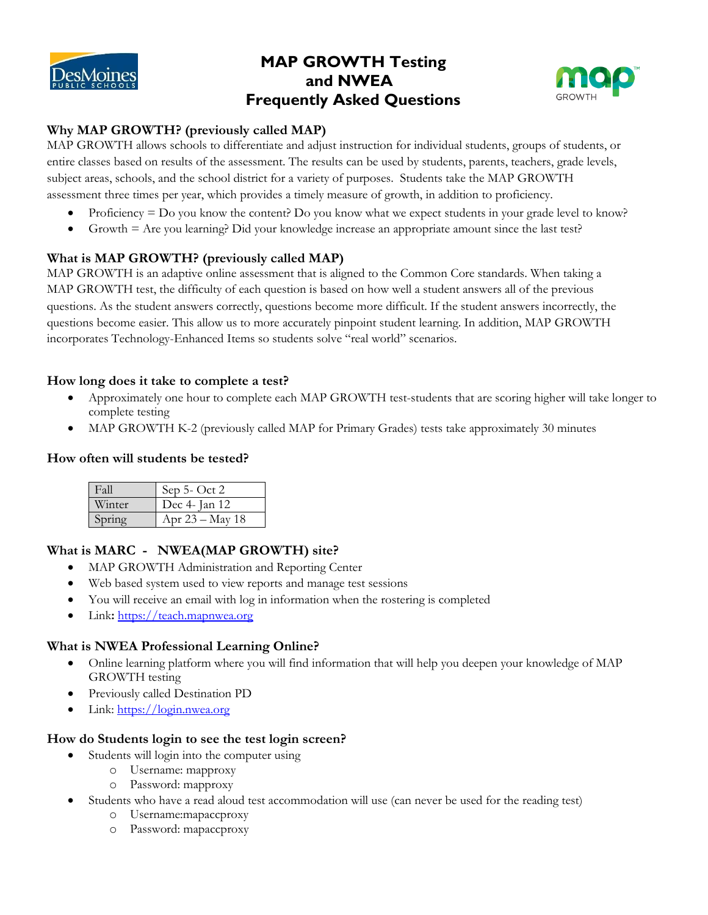

# **MAP GROWTH Testing and NWEA Frequently Asked Questions**



# **Why MAP GROWTH? (previously called MAP)**

MAP GROWTH allows schools to differentiate and adjust instruction for individual students, groups of students, or entire classes based on results of the assessment. The results can be used by students, parents, teachers, grade levels, subject areas, schools, and the school district for a variety of purposes. Students take the MAP GROWTH assessment three times per year, which provides a timely measure of growth, in addition to proficiency.

- Proficiency  $=$  Do you know the content? Do you know what we expect students in your grade level to know?
- Growth = Are you learning? Did your knowledge increase an appropriate amount since the last test?

### **What is MAP GROWTH? (previously called MAP)**

MAP GROWTH is an adaptive online assessment that is aligned to the Common Core standards. When taking a MAP GROWTH test, the difficulty of each question is based on how well a student answers all of the previous questions. As the student answers correctly, questions become more difficult. If the student answers incorrectly, the questions become easier. This allow us to more accurately pinpoint student learning. In addition, MAP GROWTH incorporates Technology-Enhanced Items so students solve "real world" scenarios.

#### **How long does it take to complete a test?**

- Approximately one hour to complete each MAP GROWTH test-students that are scoring higher will take longer to complete testing
- MAP GROWTH K-2 (previously called MAP for Primary Grades) tests take approximately 30 minutes

#### **How often will students be tested?**

| Fall   | Sep 5- Oct 2    |
|--------|-----------------|
| Winter | Dec 4- Jan 12   |
|        | Apr 23 – May 18 |

# **What is MARC - NWEA(MAP GROWTH) site?**

- MAP GROWTH Administration and Reporting Center
- Web based system used to view reports and manage test sessions
- You will receive an email with log in information when the rostering is completed
- Link**:** [https://teach.mapnwea.org](https://teach.mapnwea.org/)

### **What is NWEA Professional Learning Online?**

- Online learning platform where you will find information that will help you deepen your knowledge of MAP GROWTH testing
- Previously called Destination PD
- Link: [https://login.nwea.org](https://login.nwea.org/)

#### **How do Students login to see the test login screen?**

- Students will login into the computer using
	- o Username: mapproxy
	- o Password: mapproxy
- Students who have a read aloud test accommodation will use (can never be used for the reading test)
	- o Username:mapaccproxy
	- o Password: mapaccproxy